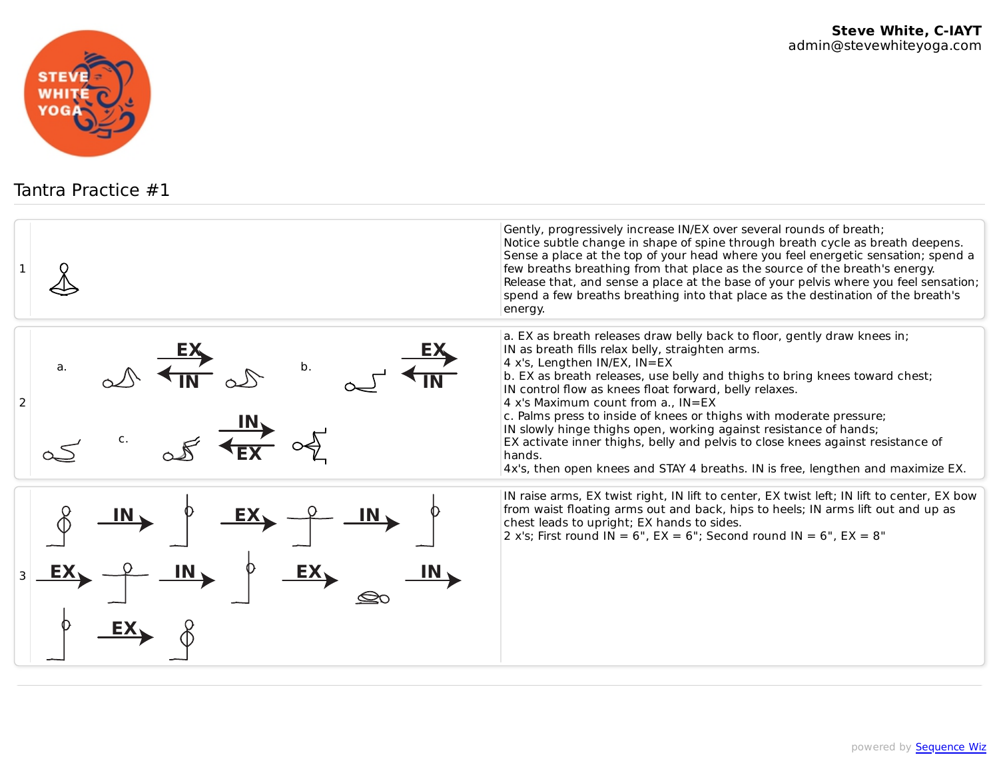

Tantra Practice #1